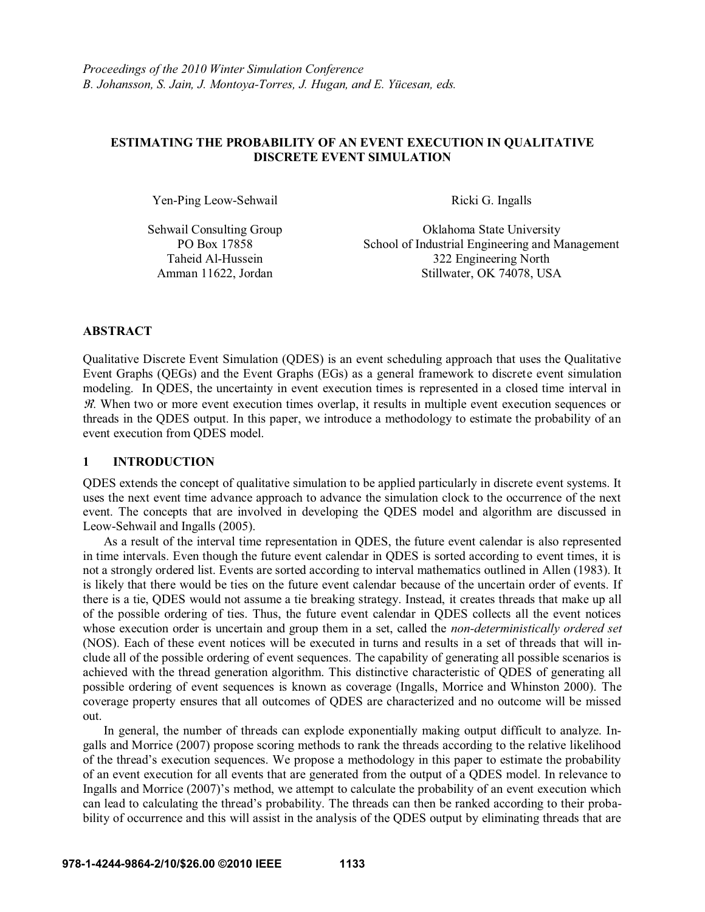## **ESTIMATING THE PROBABILITY OF AN EVENT EXECUTION IN QUALITATIVE DISCRETE EVENT SIMULATION**

Yen-Ping Leow-Sehwail Ricki G. Ingalls

Sehwail Consulting Group PO Box 17858

Oklahoma State University School of Industrial Engineering and Management Taheid Al-Hussein 322 Engineering North Amman 11622, Jordan Stillwater, OK 74078, USA

### **ABSTRACT**

Qualitative Discrete Event Simulation (QDES) is an event scheduling approach that uses the Qualitative Event Graphs (QEGs) and the Event Graphs (EGs) as a general framework to discrete event simulation modeling. In QDES, the uncertainty in event execution times is represented in a closed time interval in  $\mathcal{R}$ . When two or more event execution times overlap, it results in multiple event execution sequences or threads in the QDES output. In this paper, we introduce a methodology to estimate the probability of an event execution from QDES model.

### **1 INTRODUCTION**

QDES extends the concept of qualitative simulation to be applied particularly in discrete event systems. It uses the next event time advance approach to advance the simulation clock to the occurrence of the next event. The concepts that are involved in developing the QDES model and algorithm are discussed in Leow-Sehwail and Ingalls (2005).

 As a result of the interval time representation in QDES, the future event calendar is also represented in time intervals. Even though the future event calendar in QDES is sorted according to event times, it is not a strongly ordered list. Events are sorted according to interval mathematics outlined in Allen (1983). It is likely that there would be ties on the future event calendar because of the uncertain order of events. If there is a tie, QDES would not assume a tie breaking strategy. Instead, it creates threads that make up all of the possible ordering of ties. Thus, the future event calendar in QDES collects all the event notices whose execution order is uncertain and group them in a set, called the *non-deterministically ordered set* (NOS). Each of these event notices will be executed in turns and results in a set of threads that will include all of the possible ordering of event sequences. The capability of generating all possible scenarios is achieved with the thread generation algorithm. This distinctive characteristic of QDES of generating all possible ordering of event sequences is known as coverage (Ingalls, Morrice and Whinston 2000). The coverage property ensures that all outcomes of QDES are characterized and no outcome will be missed out.

 In general, the number of threads can explode exponentially making output difficult to analyze. Ingalls and Morrice (2007) propose scoring methods to rank the threads according to the relative likelihood of the thread's execution sequences. We propose a methodology in this paper to estimate the probability of an event execution for all events that are generated from the output of a QDES model. In relevance to Ingalls and Morrice (2007)'s method, we attempt to calculate the probability of an event execution which can lead to calculating the thread's probability. The threads can then be ranked according to their probability of occurrence and this will assist in the analysis of the QDES output by eliminating threads that are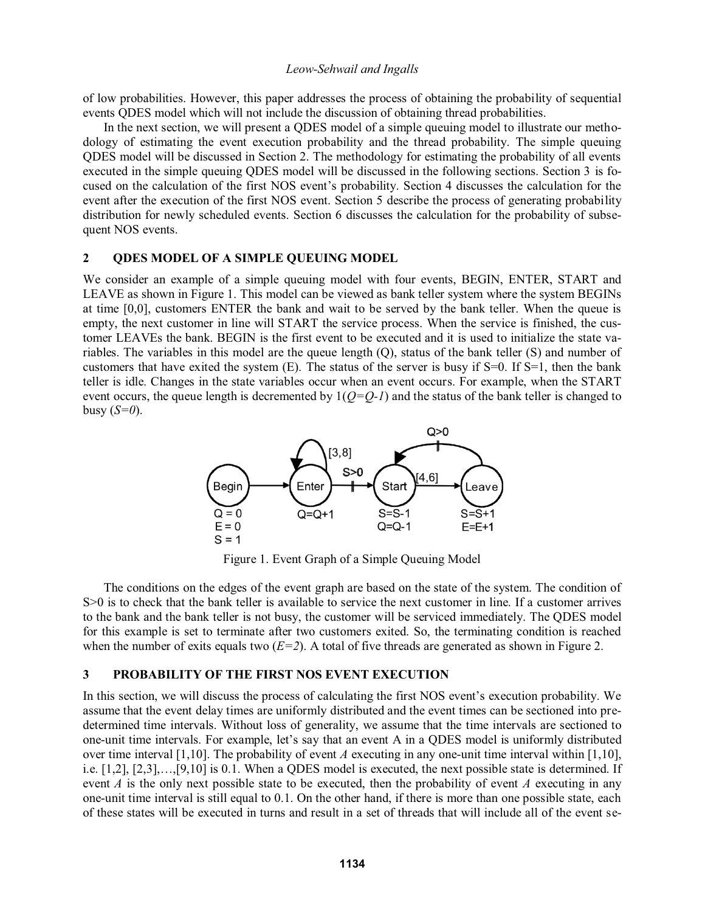of low probabilities. However, this paper addresses the process of obtaining the probability of sequential events QDES model which will not include the discussion of obtaining thread probabilities.

 In the next section, we will present a QDES model of a simple queuing model to illustrate our methodology of estimating the event execution probability and the thread probability. The simple queuing QDES model will be discussed in Section 2. The methodology for estimating the probability of all events executed in the simple queuing QDES model will be discussed in the following sections. Section 3 is fo cused on the calculation of the first NOS event's probability. Section 4 discusses the calculation for the event after the execution of the first NOS event. Section 5 describe the process of generating probability distribution for newly scheduled events. Section 6 discusses the calculation for the probability of subsequent NOS events.

#### **2 QDES MODEL OF A SIMPLE QUEUING MODEL**

We consider an example of a simple queuing model with four events, BEGIN, ENTER, START and LEAVE as shown in Figure 1. This model can be viewed as bank teller system where the system BEGINs at time [0,0], customers ENTER the bank and wait to be served by the bank teller. When the queue is empty, the next customer in line will START the service process. When the service is finished, the customer LEAVEs the bank. BEGIN is the first event to be executed and it is used to initialize the state variables. The variables in this model are the queue length (Q), status of the bank teller (S) and number of customers that have exited the system  $(E)$ . The status of the server is busy if S=0. If S=1, then the bank teller is idle. Changes in the state variables occur when an event occurs. For example, when the START event occurs, the queue length is decremented by  $1(Q=Q-1)$  and the status of the bank teller is changed to busy (*S=0*).



Figure 1. Event Graph of a Simple Queuing Model

 The conditions on the edges of the event graph are based on the state of the system. The condition of S $>0$  is to check that the bank teller is available to service the next customer in line. If a customer arrives to the bank and the bank teller is not busy, the customer will be serviced immediately. The QDES model for this example is set to terminate after two customers exited. So, the terminating condition is reached when the number of exits equals two  $(E=2)$ . A total of five threads are generated as shown in Figure 2.

## **3 PROBABILITY OF THE FIRST NOS EVENT EXECUTION**

In this section, we will discuss the process of calculating the first NOS event's execution probability. We assume that the event delay times are uniformly distributed and the event times can be sectioned into predetermined time intervals. Without loss of generality, we assume that the time intervals are sectioned to one-unit time intervals. For example, let's say that an event A in a QDES model is uniformly distributed over time interval [1,10]. The probability of event *A* executing in any one-unit time interval within [1,10], i.e.  $[1,2], [2,3], \ldots, [9,10]$  is 0.1. When a ODES model is executed, the next possible state is determined. If event *A* is the only next possible state to be executed, then the probability of event *A* executing in any one-unit time interval is still equal to 0.1. On the other hand, if there is more than one possible state, each of these states will be executed in turns and result in a set of threads that will include all of the event se-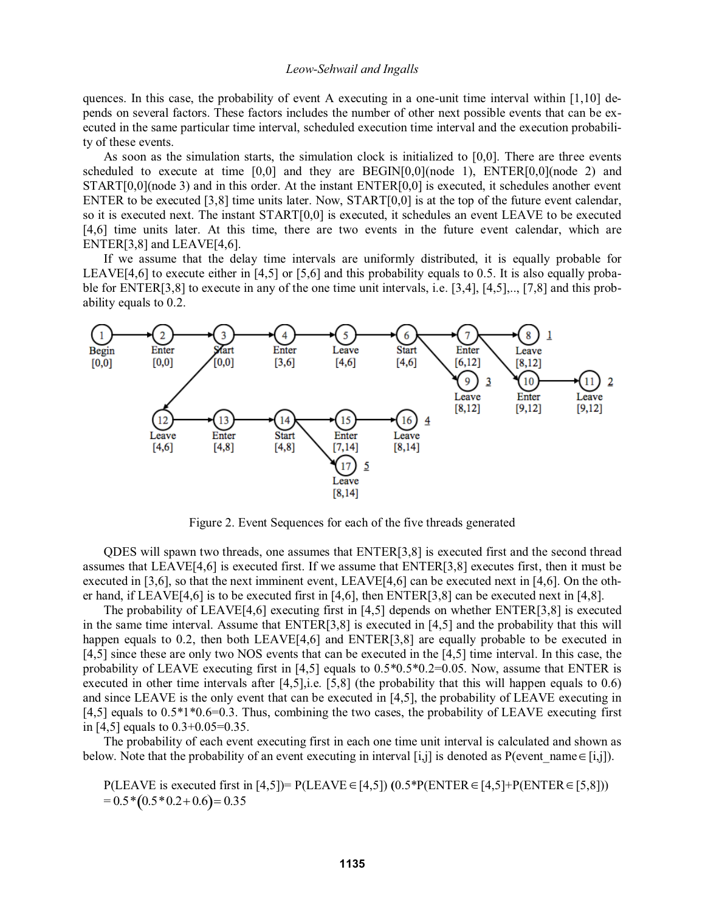quences. In this case, the probability of event A executing in a one-unit time interval within  $[1,10]$  depends on several factors. These factors includes the number of other next possible events that can be executed in the same particular time interval, scheduled execution time interval and the execution probability of these events.

 As soon as the simulation starts, the simulation clock is initialized to [0,0]. There are three events scheduled to execute at time  $[0,0]$  and they are BEGIN $[0,0]$ (node 1), ENTER $[0,0]$ (node 2) and START[0,0](node 3) and in this order. At the instant ENTER[0,0] is executed, it schedules another event ENTER to be executed [3,8] time units later. Now, START[0,0] is at the top of the future event calendar, so it is executed next. The instant START[0,0] is executed, it schedules an event LEAVE to be executed [4,6] time units later. At this time, there are two events in the future event calendar, which are ENTER[3,8] and LEAVE[4,6].

 If we assume that the delay time intervals are uniformly distributed, it is equally probable for LEAVE[4,6] to execute either in [4,5] or [5,6] and this probability equals to 0.5. It is also equally probable for ENTER[3,8] to execute in any of the one time unit intervals, i.e. [3,4], [4,5],.., [7,8] and this probability equals to 0.2.



Figure 2. Event Sequences for each of the five threads generated

 QDES will spawn two threads, one assumes that ENTER[3,8] is executed first and the second thread assumes that LEAVE[4,6] is executed first. If we assume that ENTER[3,8] executes first, then it must be executed in [3,6], so that the next imminent event, LEAVE[4,6] can be executed next in [4,6]. On the other hand, if LEAVE[4,6] is to be executed first in [4,6], then ENTER[3,8] can be executed next in [4,8].

The probability of LEAVE[4,6] executing first in [4,5] depends on whether  $ENTER[3,8]$  is executed in the same time interval. Assume that ENTER[3,8] is executed in [4,5] and the probability that this will happen equals to 0.2, then both LEAVE[4,6] and ENTER[3,8] are equally probable to be executed in [4,5] since these are only two NOS events that can be executed in the [4,5] time interval. In this case, the probability of LEAVE executing first in [4,5] equals to  $0.5*0.5*0.2=0.05$ . Now, assume that ENTER is executed in other time intervals after [4,5],i.e. [5,8] (the probability that this will happen equals to 0.6) and since LEAVE is the only event that can be executed in [4,5], the probability of LEAVE executing in [4,5] equals to 0.5\*1\*0.6=0.3. Thus, combining the two cases, the probability of LEAVE executing first in [4,5] equals to 0.3+0.05=0.35.

 The probability of each event executing first in each one time unit interval is calculated and shown as below. Note that the probability of an event executing in interval [i,j] is denoted as P(event name  $\in$  [i,j]).

P(LEAVE is executed first in [4,5])= P(LEAVE  $\in$  [4,5])  $(0.5*P(ENTER \in [4,5]+P(ENTER \in [5,8]))$  $= 0.5 * (0.5 * 0.2 + 0.6) = 0.35$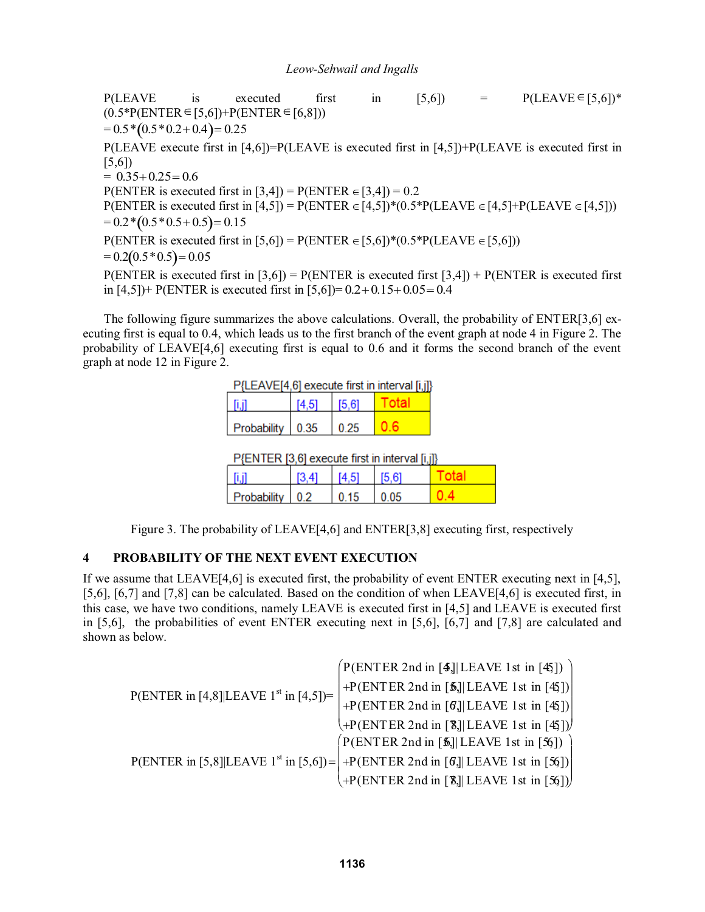$P(LEAVE$  is executed first in [5,6]) =  $P(LEAVE \in [5,6])^*$  $(0.5*P(\text{ENTER} \in [5,6])+P(\text{ENTER} \in [6,8]))$  $= 0.5 * (0.5 * 0.2 + 0.4) = 0.25$ P(LEAVE execute first in  $[4,6]$ )=P(LEAVE is executed first in  $[4,5]$ )+P(LEAVE is executed first in [5,6])  $= 0.35 + 0.25 = 0.6$ P(ENTER is executed first in [3,4]) = P(ENTER  $\in$  [3,4]) = 0.2 P(ENTER is executed first in [4,5]) = P(ENTER  $\in$  [4,5])\*(0.5\*P(LEAVE  $\in$  [4,5]+P(LEAVE  $\in$  [4,5]))  $= 0.2 * (0.5 * 0.5 + 0.5) = 0.15$ P(ENTER is executed first in [5,6]) = P(ENTER  $\in [5,6]$ )\*(0.5\*P(LEAVE  $\in [5,6]$ ))  $= 0.2(0.5 * 0.5) = 0.05$ P(ENTER is executed first in  $[3,6]$ ) = P(ENTER is executed first  $[3,4]$ ) + P(ENTER is executed first in  $[4,5]$  + P(ENTER is executed first in  $[5,6]$ ) = 0.2+0.15+0.05 = 0.4

 The following figure summarizes the above calculations. Overall, the probability of ENTER[3,6] executing first is equal to 0.4, which leads us to the first branch of the event graph at node 4 in Figure 2. The probability of LEAVE[4,6] executing first is equal to 0.6 and it forms the second branch of the event graph at node 12 in Figure 2.

| P{LEAVE[4,6] execute first in interval [i,j]} |       |         |  |  |  |  |  |
|-----------------------------------------------|-------|---------|--|--|--|--|--|
|                                               | T4 51 | l 15.61 |  |  |  |  |  |
| Probability $\pm 0.35$                        |       |         |  |  |  |  |  |

| Probability | 02 | በ 15 | 0.05 |  |
|-------------|----|------|------|--|

Figure 3. The probability of LEAVE[4,6] and ENTER[3,8] executing first, respectively

# **4 PROBABILITY OF THE NEXT EVENT EXECUTION**

If we assume that LEAVE[4,6] is executed first, the probability of event ENTER executing next in [4,5], [5,6], [6,7] and [7,8] can be calculated. Based on the condition of when LEAVE[4,6] is executed first, in this case, we have two conditions, namely LEAVE is executed first in [4,5] and LEAVE is executed first in [5,6], the probabilities of event ENTER executing next in [5,6], [6,7] and [7,8] are calculated and shown as below.

|                                                    | $(P(ENTER 2nd in [4]]LEAVE 1st in [45])$                                                      |
|----------------------------------------------------|-----------------------------------------------------------------------------------------------|
| P(ENTER in [4,8] [LEAVE 1 <sup>st</sup> in [4,5])= | +P(ENTER 2nd in [5,] LEAVE 1st in [45])                                                       |
|                                                    | +P(ENTER 2nd in [6] LEAVE 1st in [45])                                                        |
|                                                    | $\langle +P(\text{ENTER 2nd in [8]]}$ LEAVE 1st in [45])                                      |
|                                                    | $(P(ENTER 2nd in [5.]]LEAVE 1st in [56])$                                                     |
|                                                    | P(ENTER in [5,8] LEAVE 1 <sup>st</sup> in [5,6]) = $ +P$ (ENTER 2nd in [6] LEAVE 1st in [56]) |
|                                                    | $\mathcal{A}$ +P(ENTER 2nd in [8]] LEAVE 1st in [56])                                         |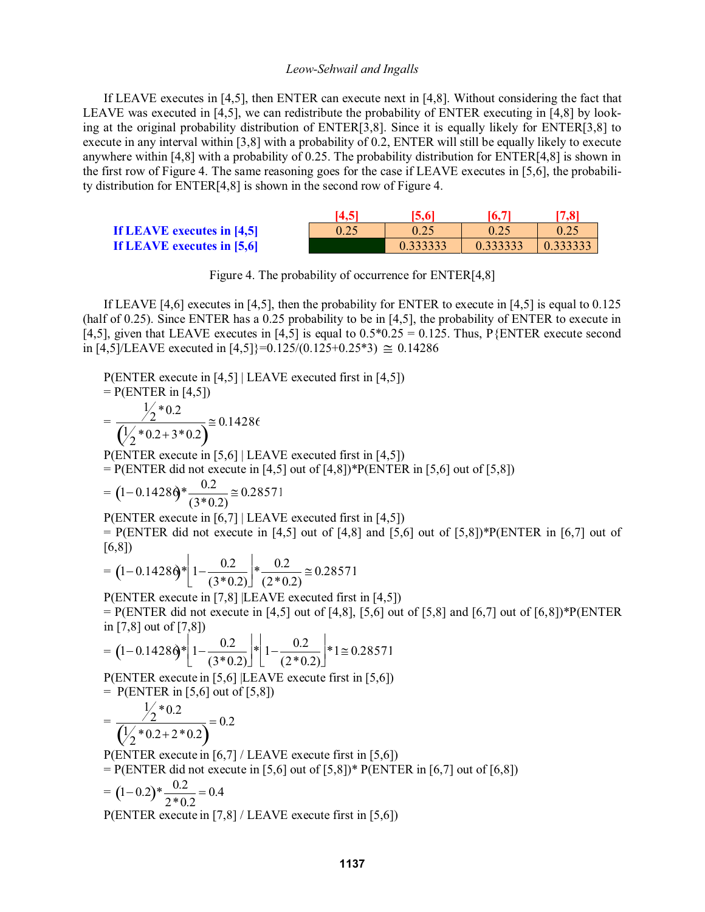If LEAVE executes in [4,5], then ENTER can execute next in [4,8]. Without considering the fact that LEAVE was executed in [4,5], we can redistribute the probability of ENTER executing in [4,8] by looking at the original probability distribution of ENTER[3,8]. Since it is equally likely for ENTER[3,8] to execute in any interval within [3,8] with a probability of 0.2, ENTER will still be equally likely to execute anywhere within [4,8] with a probability of 0.25. The probability distribution for ENTER[4,8] is shown in the first row of Figure 4. The same reasoning goes for the case if LEAVE executes in [5,6], the probability distribution for ENTER[4,8] is shown in the second row of Figure 4.

|                            | 14.5 | 5,6  | 16.7 | 7,8      |
|----------------------------|------|------|------|----------|
| If LEAVE executes in [4,5] | 0.25 | 0.25 | 0.25 | 0.25     |
| If LEAVE executes in [5,6] |      |      |      | 0.333333 |

Figure 4. The probability of occurrence for ENTER[4,8]

If LEAVE [4,6] executes in [4,5], then the probability for ENTER to execute in [4,5] is equal to 0.125 (half of 0.25). Since ENTER has a 0.25 probability to be in [4,5], the probability of ENTER to execute in [4,5], given that LEAVE executes in [4,5] is equal to  $0.5*0.25 = 0.125$ . Thus, P{ENTER execute second in [4,5]/LEAVE executed in [4,5]}=0.125/(0.125+0.25\*3)  $\approx$  0.14286

P(ENTER execute in [4,5] | LEAVE executed first in [4,5])  $= P(ENTER in [4,5])$ =  $\frac{1}{2}$  \* 0.2  $\frac{2^{6.2}}{\left(\frac{1}{2} * 0.2 + 3 * 0.2\right)} \approx 0.14286$ P(ENTER execute in [5,6] | LEAVE executed first in [4,5])  $= P(\text{ENTER did not execute in } [4,5] \text{ out of } [4,8])^*P(\text{ENTER in } [5,6] \text{ out of } [5,8])$  $= (1 - 0.1428\dot{\theta} * \frac{0.2}{(3 * 0.2)}$  $\approx 0.28571$ P(ENTER execute in [6,7] | LEAVE executed first in [4,5])  $=$  P(ENTER did not execute in [4,5] out of [4,8] and [5,6] out of [5,8])\*P(ENTER in [6,7] out of [6,8])  $= (1 - 0.1428\Theta)^* \left(1 - \frac{0.2}{(3 * 0.2)}\right)$  $\mathbf{L}$  $\vert$ <sup>1</sup>  $\frac{0.2}{(2 * 0.2)}$  $\approx 0.28571$ P(ENTER execute in [7,8] |LEAVE executed first in [4,5])  $=$  P(ENTER did not execute in [4,5] out of [4,8], [5,6] out of [5,8] and [6,7] out of [6,8])\*P(ENTER in [7,8] out of [7,8])  $= (1 - 0.1428\dot{\theta} * 1 - \frac{0.2}{(3 * 0.2)}$ Ĺ  $\vert$  1  $\left|*\right|1-\frac{0.2}{(2*0.2)}$  $\overline{a}$  $\vert$  1  $\overline{\phantom{a}}$  $*1 \approx 0.28571$ P(ENTER execute in [5,6] |LEAVE execute first in [5,6])  $=$  P(ENTER in [5,6] out of [5,8]) =  $\frac{1}{2}$  \* 0.2  $\overline{1}$  $\frac{2^{12}}{\left(\frac{1}{2} * 0.2 + 2 * 0.2\right)} = 0.2$ P(ENTER execute in [6,7] / LEAVE execute first in [5,6])  $= P(\text{ENTER did not execute in } [5,6] \text{ out of } [5,8])^* P(\text{ENTER in } [6,7] \text{ out of } [6,8])$  $= (1 - 0.2) * \frac{0.2}{2 * 0.2} = 0.4$ 

P(ENTER execute in [7,8] / LEAVE execute first in [5,6])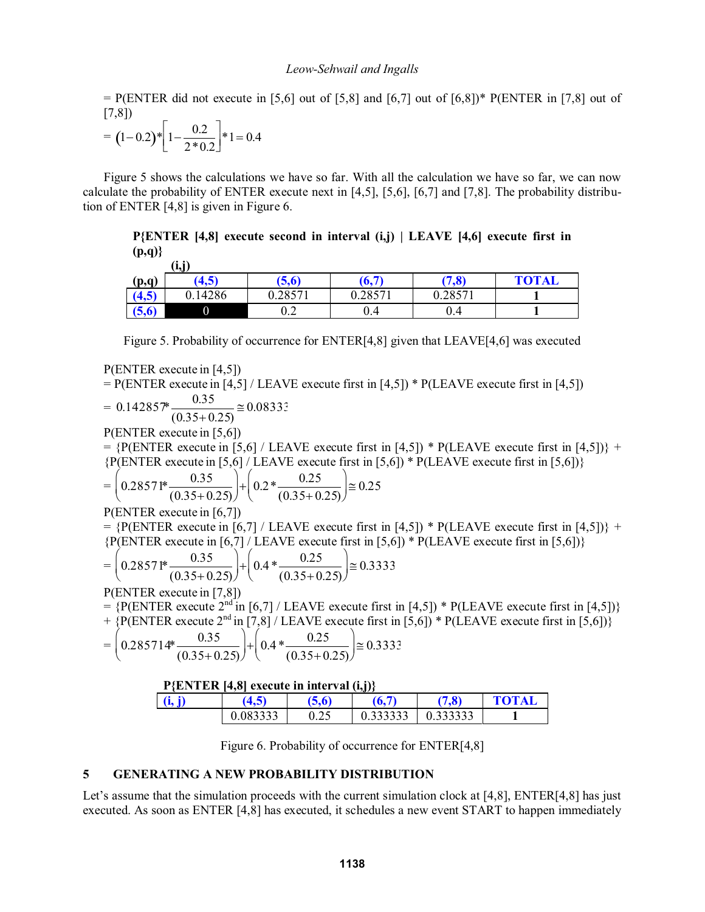$=$  P(ENTER did not execute in [5,6] out of [5,8] and [6,7] out of [6,8])\* P(ENTER in [7,8] out of [7,8])

$$
= (1-0.2)*\left[1-\frac{0.2}{2*0.2}\right]*1 = 0.4
$$

Figure 5 shows the calculations we have so far. With all the calculation we have so far, we can now calculate the probability of ENTER execute next in [4,5], [5,6], [6,7] and [7,8]. The probability distribution of ENTER [4,8] is given in Figure 6.

**P{ENTER [4,8] execute second in interval (i,j) | LEAVE [4,6] execute first in (p,q)}**

|        | (i,j)   |           |         |         |              |
|--------|---------|-----------|---------|---------|--------------|
| (p,q)  | (4,5)   | (5,6)     | (6,7)   | (7, 8)  | <b>TOTAL</b> |
| (4, 5) | 0.14286 | 0.28571   | 0.28571 | 0.28571 |              |
| (5,6)  |         | ∩າ<br>∪.∠ | 0.4     | 0.4     |              |

Figure 5. Probability of occurrence for ENTER[4,8] given that LEAVE[4,6] was executed

P(ENTER execute in [4,5])

 $=$  P(ENTER execute in [4,5] / LEAVE execute first in [4,5]) \* P(LEAVE execute first in [4,5])

$$
= 0.142857^* \frac{0.35}{(0.35+0.25)} = 0.08333
$$

P(ENTER execute in [5,6])

 $= {P(ENTER execute in [5,6] / LEAVE execute first in [4,5]) * P(LEAVE execute first in [4,5]) } +$  ${P(ENTER\; execute in [5,6] / LEAVE\; execute first in [5,6]) * P(LEAVE\; execute first in [5,6])}$ 

$$
= \left(0.28571^* \frac{0.35}{(0.35+0.25)}\right) + \left(0.2^* \frac{0.25}{(0.35+0.25)}\right) \approx 0.25
$$

P(ENTER execute in [6,7])

 $=$  {P(ENTER execute in [6,7] / LEAVE execute first in [4,5]) \* P(LEAVE execute first in [4,5])} +  ${P(ENTER execute in [6,7] / LEAVE execute first in [5,6]) * P(LEAVE execute first in [5,6])}$ 

$$
= \left(0.28571^* \frac{0.35}{(0.35+0.25)}\right) + \left(0.4 * \frac{0.25}{(0.35+0.25)}\right) \approx 0.3333
$$

P(ENTER execute in [7,8])

 $=$  {P(ENTER execute 2<sup>nd</sup> in [6,7] / LEAVE execute first in [4,5]) \* P(LEAVE execute first in [4,5])}

 $+$  {P(ENTER execute 2<sup>nd</sup> in [7,8] / LEAVE execute first in [5,6]) \* P(LEAVE execute first in [5,6])}

$$
= \left(0.285714*\frac{0.35}{(0.35+0.25)}\right) + \left(0.4*\frac{0.25}{(0.35+0.25)}\right) \approx 0.3333
$$

**P{ENTER [4,8] execute in interval (i,j)}**

| (i, j) | (4,5)    |      | $\overline{\tau}$<br>o.            | 7.8      | <b>TOTAL</b> |  |
|--------|----------|------|------------------------------------|----------|--------------|--|
|        | 0.083333 | ∪.∠J | $\Omega$ 222222<br><u>u.ssssss</u> | 0.333333 |              |  |

Figure 6. Probability of occurrence for ENTER[4,8]

## **5 GENERATING A NEW PROBABILITY DISTRIBUTION**

Let's assume that the simulation proceeds with the current simulation clock at  $[4,8]$ , ENTER $[4,8]$  has just executed. As soon as ENTER [4,8] has executed, it schedules a new event START to happen immediately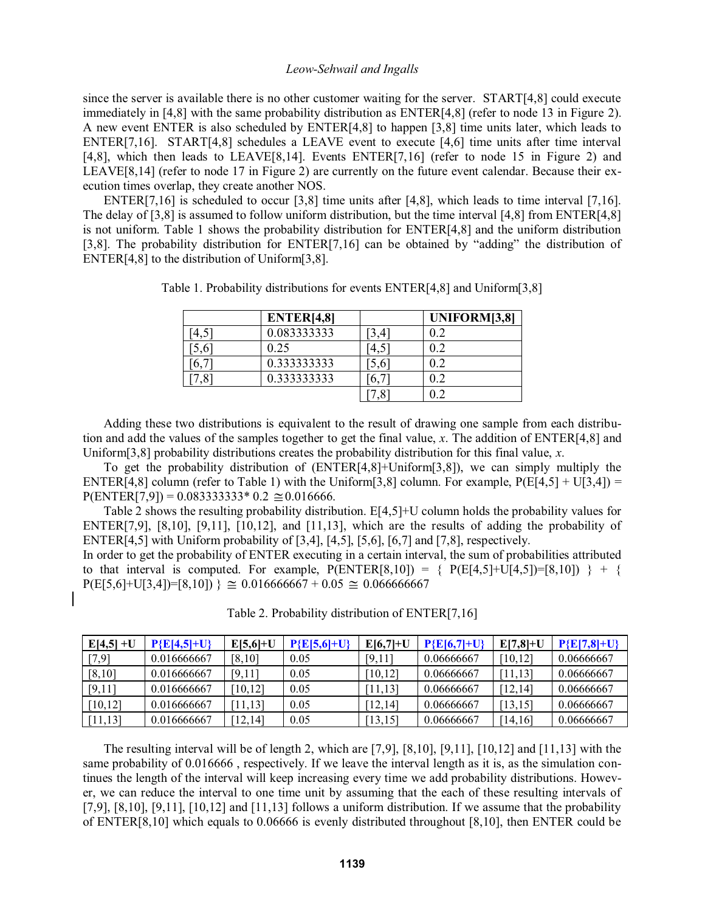since the server is available there is no other customer waiting for the server. START[4,8] could execute immediately in [4,8] with the same probability distribution as ENTER[4,8] (refer to node 13 in Figure 2). A new event ENTER is also scheduled by ENTER[4,8] to happen [3,8] time units later, which leads to ENTER[7,16]. START[4,8] schedules a LEAVE event to execute [4,6] time units after time interval [4,8], which then leads to LEAVE[8,14]. Events ENTER[7,16] (refer to node 15 in Figure 2) and LEAVE[8,14] (refer to node 17 in Figure 2) are currently on the future event calendar. Because their execution times overlap, they create another NOS.

ENTER[7,16] is scheduled to occur [3,8] time units after [4,8], which leads to time interval [7,16]. The delay of [3,8] is assumed to follow uniform distribution, but the time interval [4,8] from ENTER[4,8] is not uniform. Table 1 shows the probability distribution for ENTER[4,8] and the uniform distribution  $[3,8]$ . The probability distribution for ENTER $[7,16]$  can be obtained by "adding" the distribution of ENTER[4,8] to the distribution of Uniform[3,8].

|      | ENTER[4,8]  |     | UNIFORM[3,8] |
|------|-------------|-----|--------------|
|      | 0.083333333 | 3,4 | 0.2          |
| 0.61 | 0.25        | 4,5 | 0.2          |
|      | 0.333333333 | 5,6 | 0.2          |
|      | 0.333333333 | b.  | 0.2          |
|      |             | .8  | በ 2          |

Table 1. Probability distributions for events ENTER[4,8] and Uniform[3,8]

 Adding these two distributions is equivalent to the result of drawing one sample from each distribution and add the values of the samples together to get the final value, *x*. The addition of ENTER[4,8] and Uniform[3,8] probability distributions creates the probability distribution for this final value, *x*.

 To get the probability distribution of (ENTER[4,8]+Uniform[3,8]), we can simply multiply the ENTER[4,8] column (refer to Table 1) with the Uniform[3,8] column. For example,  $P(E[4,5] + U[3,4]) =$  $P(\text{ENTER}[7,9]) = 0.083333333*0.2 \approx 0.016666.$ 

 Table 2 shows the resulting probability distribution. E[4,5]+U column holds the probability values for ENTER[7,9],  $[8,10]$ ,  $[9,11]$ ,  $[10,12]$ , and  $[11,13]$ , which are the results of adding the probability of ENTER[4,5] with Uniform probability of [3,4], [4,5], [5,6], [6,7] and [7,8], respectively.

In order to get the probability of ENTER executing in a certain interval, the sum of probabilities attributed to that interval is computed. For example,  $P(ENTER[8,10]) = \{ P(E[4,5]+U[4,5]) = [8,10] \} + \{$  $P(E[5,6]+U[3,4])=[8,10])$  }  $\cong 0.016666667 + 0.05 \cong 0.0666666667$ 

| $E[4,5]+U$ | $P{E[4,5]+U}$ | $E[5,6]+U$ | $P{E[5,6]+U}$ | $E[6,7]+U$ | $P{E[6,7]+U}$ | $E[7,8]+U$ | $P{E[7,8]+U}$ |
|------------|---------------|------------|---------------|------------|---------------|------------|---------------|
| [7,9]      | 0.016666667   | [8,10]     | 0.05          | [9,11]     | 0.06666667    | [10,12]    | 0.06666667    |
| [8, 10]    | 0.016666667   | [9,11]     | 0.05          | [10,12]    | 0.06666667    |            | 0.06666667    |
| [9,11]     | 0.016666667   | 10,121     | 0.05          | [11, 13]   | 0.06666667    | [12,14]    | 0.06666667    |
| [10.12]    | 0.016666667   | 11,131     | 0.05          | [12,14]    | 0.06666667    | [13,15]    | 0.06666667    |
| [11,13]    | 0.016666667   | 12,141     | 0.05          | [13, 15]   | 0.06666667    | [14,16]    | 0.06666667    |

Table 2. Probability distribution of ENTER[7,16]

 The resulting interval will be of length 2, which are [7,9], [8,10], [9,11], [10,12] and [11,13] with the same probability of 0.016666 , respectively. If we leave the interval length as it is, as the simulation continues the length of the interval will keep increasing every time we add probability distributions. However, we can reduce the interval to one time unit by assuming that the each of these resulting intervals of [7,9], [8,10], [9,11], [10,12] and [11,13] follows a uniform distribution. If we assume that the probability of ENTER[8,10] which equals to 0.06666 is evenly distributed throughout [8,10], then ENTER could be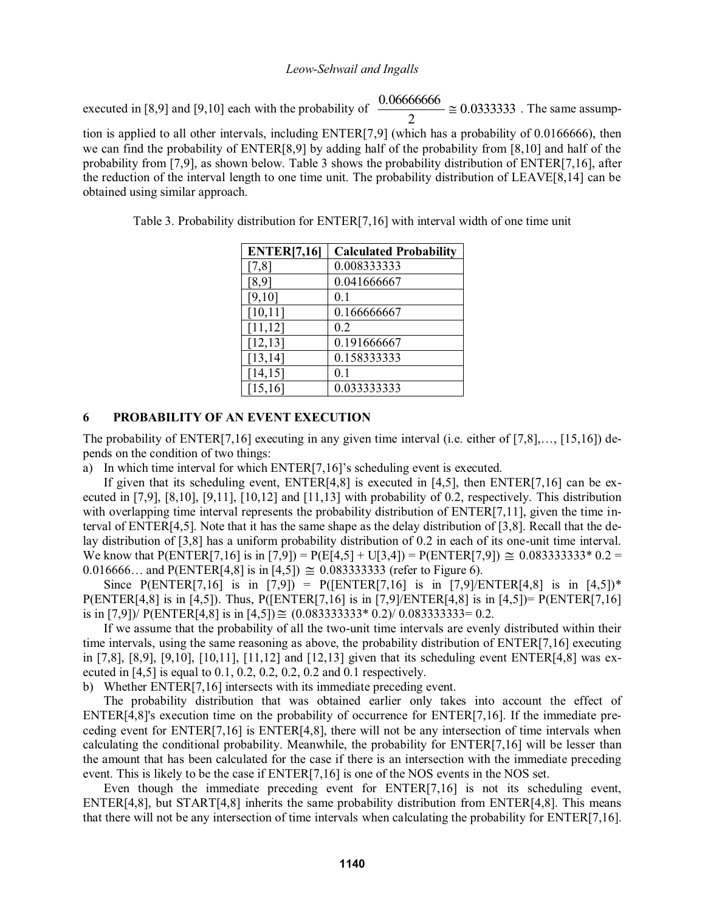executed in [8,9] and [9,10] each with the probability of  $\frac{0.00000000}{2} \approx 0.03333333$ 2  $\frac{0.06666666}{2} \approx 0.0333333$ . The same assump-

tion is applied to all other intervals, including ENTER[7,9] (which has a probability of 0.0166666), then we can find the probability of ENTER[8,9] by adding half of the probability from [8,10] and half of the probability from [7,9], as shown below. Table 3 shows the probability distribution of ENTER[7,16], after the reduction of the interval length to one time unit. The probability distribution of LEAVE[8,14] can be obtained using similar approach.

| <b>ENTER[7,16]</b> | <b>Calculated Probability</b> |
|--------------------|-------------------------------|
| [7,8]              | 0.008333333                   |
| [8, 9]             | 0.041666667                   |
| [9,10]             | 0.1                           |
| [10, 11]           | 0.166666667                   |
| [11, 12]           | 0.2                           |
| [12, 13]           | 0.191666667                   |
| [13, 14]           | 0.158333333                   |
| [14, 15]           | 0.1                           |
| [15, 16]           | 0.033333333                   |

Table 3. Probability distribution for ENTER[7,16] with interval width of one time unit

## **6 PROBABILITY OF AN EVENT EXECUTION**

The probability of  $ENTER[7, 16]$  executing in any given time interval (i.e. either of  $[7, 8]$ ,...,  $[15, 16]$ ) depends on the condition of two things:

a) In which time interval for which  $ENTER[7,16]$ 's scheduling event is executed.

If given that its scheduling event,  $ENTER[4,8]$  is executed in [4,5], then  $ENTER[7,16]$  can be executed in  $[7,9]$ ,  $[8,10]$ ,  $[9,11]$ ,  $[10,12]$  and  $[11,13]$  with probability of 0.2, respectively. This distribution with overlapping time interval represents the probability distribution of ENTER[7,11], given the time interval of ENTER[4,5]. Note that it has the same shape as the delay distribution of [3,8]. Recall that the delay distribution of [3,8] has a uniform probability distribution of 0.2 in each of its one-unit time interval. We know that P(ENTER[7,16] is in [7,9]) = P(E[4,5] + U[3,4]) = P(ENTER[7,9])  $\approx 0.083333333^{*}$  0.2 =  $0.016666...$  and P(ENTER[4,8] is in [4,5])  $\cong$  0.0833333333 (refer to Figure 6).

Since P(ENTER[7,16] is in [7,9]) = P([ENTER[7,16] is in [7,9]/ENTER[4,8] is in [4,5])\*  $P(\text{ENTER}[4,8] \text{ is in } [4,5])$ . Thus,  $P(\text{ENTER}[7,16] \text{ is in } [7,9]/\text{ENTER}[4,8] \text{ is in } [4,5]) = P(\text{ENTER}[7,16])$ is in [7,9])/ P(ENTER[4,8] is in [4,5])  $\cong$  (0.0833333333334 0.2)/ 0.0833333333= 0.2.

 If we assume that the probability of all the two-unit time intervals are evenly distributed within their time intervals, using the same reasoning as above, the probability distribution of ENTER[7,16] executing in [7,8], [8,9], [9,10], [10,11], [11,12] and [12,13] given that its scheduling event ENTER[4,8] was executed in  $[4,5]$  is equal to 0.1, 0.2, 0.2, 0.2, 0.2 and 0.1 respectively.

b) Whether ENTER[7,16] intersects with its immediate preceding event.

The probability distribution that was obtained earlier only takes into account the effect of ENTER[4,8]'s execution time on the probability of occurrence for ENTER[7,16]. If the immediate preceding event for ENTER[7,16] is ENTER[4,8], there will not be any intersection of time intervals when calculating the conditional probability. Meanwhile, the probability for ENTER[7,16] will be lesser than the amount that has been calculated for the case if there is an intersection with the immediate preceding event. This is likely to be the case if ENTER[7,16] is one of the NOS events in the NOS set.

 Even though the immediate preceding event for ENTER[7,16] is not its scheduling event, ENTER[4,8], but START[4,8] inherits the same probability distribution from ENTER[4,8]. This means that there will not be any intersection of time intervals when calculating the probability for ENTER[7,16].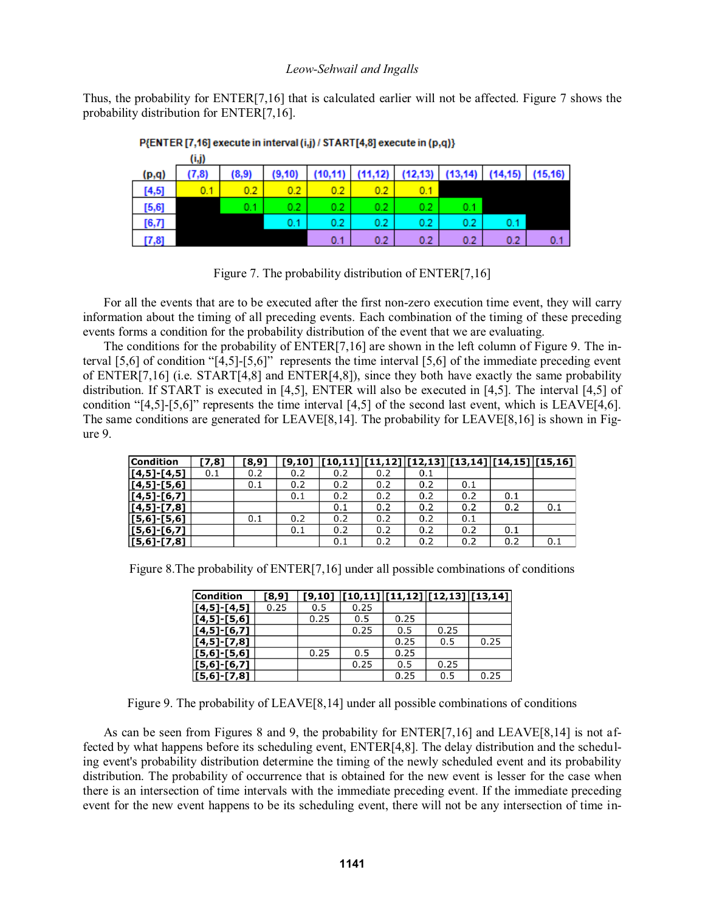Thus, the probability for ENTER[7,16] that is calculated earlier will not be affected. Figure 7 shows the probability distribution for ENTER[7,16].

|        | (1,J) |       |          |                  |     |                                                             |     |     |     |
|--------|-------|-------|----------|------------------|-----|-------------------------------------------------------------|-----|-----|-----|
| (p,q)  | (7.8) | (8.9) | (9, 10)  |                  |     | $(10,11)$ $(11,12)$ $(12,13)$ $(13,14)$ $(14,15)$ $(15,16)$ |     |     |     |
| [4, 5] | 0.1   | 0.2   | $_{0.2}$ | 0.2              |     | 0.1                                                         |     |     |     |
| [5,6]  |       | 0.1   | 0.2      | 0.2 <sub>1</sub> | 0.2 | 0.2                                                         | 0.1 |     |     |
| [6,7]  |       |       | 0.1      | 0.2              | 0.2 | 0.2                                                         | 0.2 | 0.1 |     |
| 17.81  |       |       |          | 0.1              | 0.2 | 0.2                                                         | 0.2 | 0.2 | 0.1 |

#### P{ENTER [7,16] execute in interval (i,j) / START[4,8] execute in (p,q)}

Figure 7. The probability distribution of ENTER[7,16]

 For all the events that are to be executed after the first non-zero execution time event, they will carry information about the timing of all preceding events. Each combination of the timing of these preceding events forms a condition for the probability distribution of the event that we are evaluating.

 The conditions for the probability of ENTER[7,16] are shown in the left column of Figure 9. The interval  $[5,6]$  of condition " $[4,5]$ - $[5,6]$ " represents the time interval  $[5,6]$  of the immediate preceding event of ENTER[7,16] (i.e. START[4,8] and ENTER[4,8]), since they both have exactly the same probability distribution. If START is executed in [4,5], ENTER will also be executed in [4,5]. The interval [4,5] of condition " $[4,5]$ - $[5,6]$ " represents the time interval  $[4,5]$  of the second last event, which is LEAVE $[4,6]$ . The same conditions are generated for LEAVE[8,14]. The probability for LEAVE[8,16] is shown in Figure 9.

| <b>Condition</b>   | [7,8] | T8,9] | [9, 10] |     |     |     |     | $\left\vert \left[ 10,11\right] \right\vert \left[ 11,12\right] \left\vert \left[ 12,13\right] \right\vert \left[ 13,14\right] \left\vert \left[ 14,15\right] \right\vert \left[ 15,16\right]$ |     |
|--------------------|-------|-------|---------|-----|-----|-----|-----|------------------------------------------------------------------------------------------------------------------------------------------------------------------------------------------------|-----|
| $[4,5]$ -[4,5]     | 0.1   | 0.2   | 0.2     | 0.2 | 0.2 | 0.1 |     |                                                                                                                                                                                                |     |
| $[[4,5]$ - $[5,6]$ |       | 0.1   | 0.2     | 0.2 | 0.2 | 0.2 | 0.1 |                                                                                                                                                                                                |     |
| $[4,5]$ -[6,7]     |       |       | 0.1     | 0.2 | 0.2 | 0.2 | 0.2 | 0.1                                                                                                                                                                                            |     |
| $[4,5]$ -[7,8]     |       |       |         | 0.1 | 0.2 | 0.2 | 0.2 | 0.2                                                                                                                                                                                            | 0.1 |
| $[5,6]$ -[5,6]     |       | 0.1   | 0.2     | 0.2 | 0.2 | 0.2 | 0.1 |                                                                                                                                                                                                |     |
| $[5,6]$ - $[6,7]$  |       |       | 0.1     | 0.2 | 0.2 | 0.2 | 0.2 | 0.1                                                                                                                                                                                            |     |
| $[5, 6] - [7, 8]$  |       |       |         | 0.1 | 0.2 | 0.2 | 0.2 | 0.2                                                                                                                                                                                            | 0.1 |

Figure 8.The probability of ENTER[7,16] under all possible combinations of conditions

| <b>Condition</b>  | [8, 9] |      | $[9,10]$ $[10,11]$ $[11,12]$ $[12,13]$ $[13,14]$ |      |      |      |
|-------------------|--------|------|--------------------------------------------------|------|------|------|
| $[4,5]$ -[4,5]    | 0.25   | 0.5  | 0.25                                             |      |      |      |
| $[4,5]$ - $[5,6]$ |        | 0.25 | 0.5                                              | 0.25 |      |      |
| $[4,5]$ -[6,7]    |        |      | 0.25                                             | 0.5  | 0.25 |      |
| $[4,5]$ - $[7,8]$ |        |      |                                                  | 0.25 | 0.5  | 0.25 |
| $[5,6]$ - $[5,6]$ |        | 0.25 | 0.5                                              | 0.25 |      |      |
| $[5,6]$ -[6,7]    |        |      | 0.25                                             | 0.5  | 0.25 |      |
| $[5,6]$ - $[7,8]$ |        |      |                                                  | 0.25 | 0.5  | 0.25 |

Figure 9. The probability of LEAVE[8,14] under all possible combinations of conditions

 As can be seen from Figures 8 and 9, the probability for ENTER[7,16] and LEAVE[8,14] is not affected by what happens before its scheduling event, ENTER[4,8]. The delay distribution and the scheduling event's probability distribution determine the timing of the newly scheduled event and its probability distribution. The probability of occurrence that is obtained for the new event is lesser for the case when there is an intersection of time intervals with the immediate preceding event. If the immediate preceding event for the new event happens to be its scheduling event, there will not be any intersection of time in-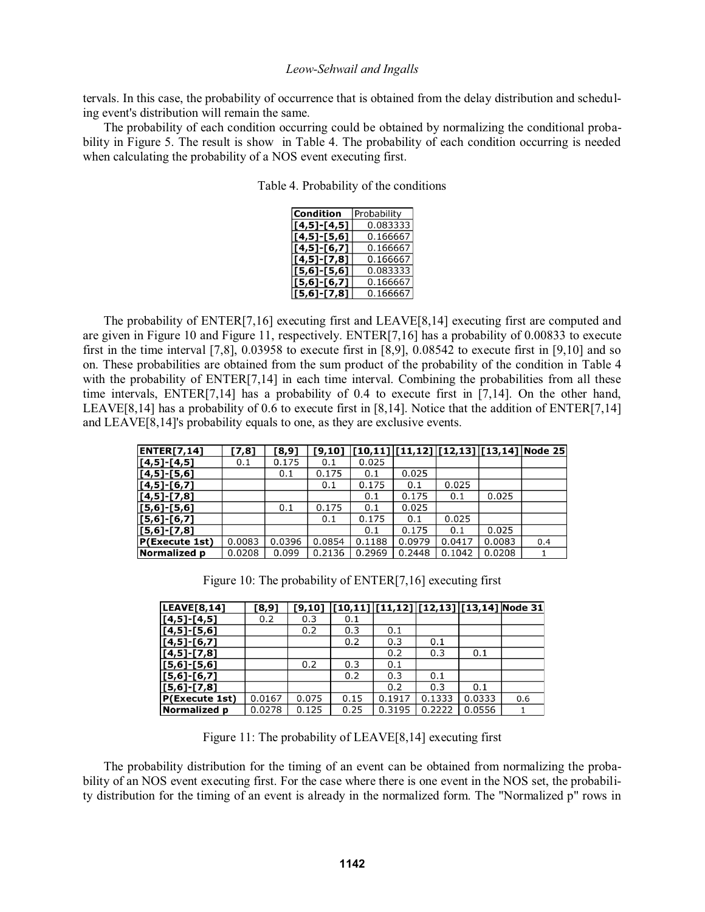tervals. In this case, the probability of occurrence that is obtained from the delay distribution and scheduling event's distribution will remain the same.

The probability of each condition occurring could be obtained by normalizing the conditional probability in Figure 5. The result is show in Table 4. The probability of each condition occurring is needed when calculating the probability of a NOS event executing first.

Table 4. Probability of the conditions

| <b>Condition</b>  | Probability |
|-------------------|-------------|
|                   |             |
| $[4,5]$ - $[4,5]$ | 0.083333    |
| $[4,5]$ - $[5,6]$ | 0.166667    |
| $[4,5]$ - $[6,7]$ | 0.166667    |
| $[4,5]$ - $[7,8]$ | 0.166667    |
| $[5,6]-[5,6]$     | 0.083333    |
| $[5,6]$ -[6,7]    | 0.166667    |
| $[5,6]$ - $[7,8]$ | 0.166667    |

 The probability of ENTER[7,16] executing first and LEAVE[8,14] executing first are computed and are given in Figure 10 and Figure 11, respectively. ENTER[7,16] has a probability of 0.00833 to execute first in the time interval [7,8], 0.03958 to execute first in [8,9], 0.08542 to execute first in [9,10] and so on. These probabilities are obtained from the sum product of the probability of the condition in Table 4 with the probability of ENTER[7,14] in each time interval. Combining the probabilities from all these time intervals, ENTER[7,14] has a probability of 0.4 to execute first in [7,14]. On the other hand, LEAVE $[8,14]$  has a probability of 0.6 to execute first in  $[8,14]$ . Notice that the addition of ENTER $[7,14]$ and LEAVE[8,14]'s probability equals to one, as they are exclusive events.

| <b>ENTER[7,14]</b> | [7,8]  | [8,9]  | [9,10] |        |        |        |        | $ [10,11] [11,12] [12,13] [13,14] $ Node 25 |
|--------------------|--------|--------|--------|--------|--------|--------|--------|---------------------------------------------|
| $[4,5]$ -[4,5]     | 0.1    | 0.175  | 0.1    | 0.025  |        |        |        |                                             |
| $[4,5]$ -[5,6]     |        | 0.1    | 0.175  | 0.1    | 0.025  |        |        |                                             |
| $[4,5]$ -[6,7]     |        |        | 0.1    | 0.175  | 0.1    | 0.025  |        |                                             |
| $[[4,5]$ - $[7,8]$ |        |        |        | 0.1    | 0.175  | 0.1    | 0.025  |                                             |
| $[5,6]$ -[5,6]     |        | 0.1    | 0.175  | 0.1    | 0.025  |        |        |                                             |
| $[5, 6]$ -[6,7]    |        |        | 0.1    | 0.175  | 0.1    | 0.025  |        |                                             |
| $[5, 6]$ -[7,8]    |        |        |        | 0.1    | 0.175  | 0.1    | 0.025  |                                             |
| P(Execute 1st)     | 0.0083 | 0.0396 | 0.0854 | 0.1188 | 0.0979 | 0.0417 | 0.0083 | 0.4                                         |
| Normalized p       | 0.0208 | 0.099  | 0.2136 | 0.2969 | 0.2448 | 0.1042 | 0.0208 |                                             |

|  |  | Figure 10: The probability of ENTER[7,16] executing first |
|--|--|-----------------------------------------------------------|
|  |  |                                                           |

| <b>LEAVE[8,14]</b> | [8,9]  |       |      |        |        |        | $[9,10]$ $[10,11]$ $[11,12]$ $[12,13]$ $[13,14]$ Node 31 |
|--------------------|--------|-------|------|--------|--------|--------|----------------------------------------------------------|
| $[4,5]$ - $[4,5]$  | 0.2    | 0.3   | 0.1  |        |        |        |                                                          |
| $[4,5]$ - $[5,6]$  |        | 0.2   | 0.3  | 0.1    |        |        |                                                          |
| $[4,5]$ - $[6,7]$  |        |       | 0.2  | 0.3    | 0.1    |        |                                                          |
| $[4,5]$ - $[7,8]$  |        |       |      | 0.2    | 0.3    | 0.1    |                                                          |
| $[5,6]$ - $[5,6]$  |        | 0.2   | 0.3  | 0.1    |        |        |                                                          |
| $[5,6]$ - $[6,7]$  |        |       | 0.2  | 0.3    | 0.1    |        |                                                          |
| $[5,6]$ - $[7,8]$  |        |       |      | 0.2    | 0.3    | 0.1    |                                                          |
| P(Execute 1st)     | 0.0167 | 0.075 | 0.15 | 0.1917 | 0.1333 | 0.0333 | 0.6                                                      |
| Normalized p       | 0.0278 | 0.125 | 0.25 | 0.3195 | 0.2222 | 0.0556 |                                                          |

Figure 11: The probability of LEAVE[8,14] executing first

The probability distribution for the timing of an event can be obtained from normalizing the probability of an NOS event executing first. For the case where there is one event in the NOS set, the probability distribution for the timing of an event is already in the normalized form. The "Normalized p" rows in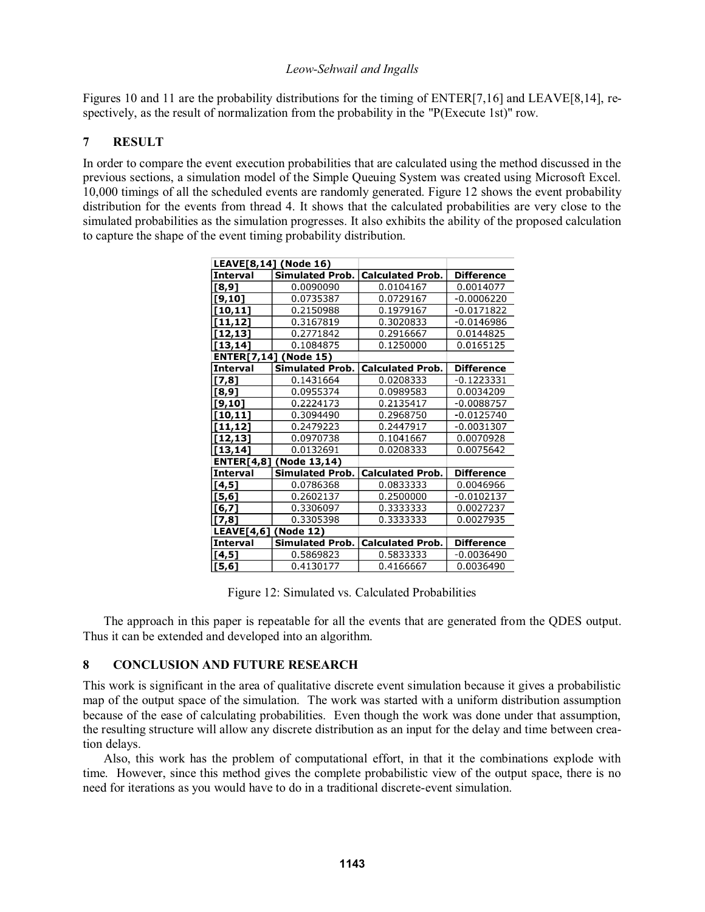Figures 10 and 11 are the probability distributions for the timing of ENTER[7,16] and LEAVE[8,14], respectively, as the result of normalization from the probability in the "P(Execute 1st)" row.

# **7 RESULT**

In order to compare the event execution probabilities that are calculated using the method discussed in the previous sections, a simulation model of the Simple Queuing System was created using Microsoft Excel. 10,000 timings of all the scheduled events are randomly generated. Figure 12 shows the event probability distribution for the events from thread 4. It shows that the calculated probabilities are very close to the simulated probabilities as the simulation progresses. It also exhibits the ability of the proposed calculation to capture the shape of the event timing probability distribution.

|                      | LEAVE[8,14] (Node 16)          |                         |                   |  |
|----------------------|--------------------------------|-------------------------|-------------------|--|
| <b>Interval</b>      | <b>Simulated Prob.</b>         | <b>Calculated Prob.</b> | <b>Difference</b> |  |
| [8, 9]               | 0.0090090                      | 0.0104167               | 0.0014077         |  |
| [9,10]               | 0.0735387                      | 0.0729167               | $-0.0006220$      |  |
| [10, 11]             | 0.2150988                      | 0.1979167               | $-0.0171822$      |  |
| [11, 12]             | 0.3167819                      | 0.3020833               | $-0.0146986$      |  |
| [12, 13]             | 0.2771842                      | 0.2916667               | 0.0144825         |  |
| [13, 14]             | 0.1084875                      | 0.1250000               | 0.0165125         |  |
|                      | <b>ENTER[7,14] (Node 15)</b>   |                         |                   |  |
| Interval             | <b>Simulated Prob.</b>         | <b>Calculated Prob.</b> | <b>Difference</b> |  |
| $[7,8]$              | 0.1431664                      | 0.0208333               | -0.1223331        |  |
| [8,9]                | 0.0955374                      | 0.0989583               | 0.0034209         |  |
| $[9,10]$             | 0.2224173                      | 0.2135417               | $-0.0088757$      |  |
| [10, 11]             | 0.3094490                      | 0.2968750               | $-0.0125740$      |  |
| [11, 12]             | 0.2479223                      | 0.2447917               | $-0.0031307$      |  |
| [12, 13]             | 0.0970738                      | 0.1041667               | 0.0070928         |  |
| [13, 14]             | 0.0132691                      | 0.0208333               | 0.0075642         |  |
|                      | <b>ENTER[4,8] (Node 13,14)</b> |                         |                   |  |
| <b>Interval</b>      | <b>Simulated Prob.</b>         | <b>Calculated Prob.</b> | <b>Difference</b> |  |
| [4,5]                | 0.0786368                      | 0.0833333               | 0.0046966         |  |
| [5,6]                | 0.2602137                      | 0.2500000               | $-0.0102137$      |  |
| $[6,7]$              | 0.3306097                      | 0.3333333               | 0.0027237         |  |
| [7,8]                | 0.3305398                      | 0.3333333               | 0.0027935         |  |
| LEAVE[4,6] (Node 12) |                                |                         |                   |  |
| <b>Interval</b>      | <b>Simulated Prob.</b>         | <b>Calculated Prob.</b> | <b>Difference</b> |  |
| [4,5]                | 0.5869823                      | 0.5833333               | $-0.0036490$      |  |
| [5, 6]               | 0.4130177                      | 0.4166667               | 0.0036490         |  |

Figure 12: Simulated vs. Calculated Probabilities

The approach in this paper is repeatable for all the events that are generated from the QDES output. Thus it can be extended and developed into an algorithm.

## **8 CONCLUSION AND FUTURE RESEARCH**

This work is significant in the area of qualitative discrete event simulation because it gives a probabilistic map of the output space of the simulation. The work was started with a uniform distribution assumption because of the ease of calculating probabilities. Even though the work was done under that assumption, the resulting structure will allow any discrete distribution as an input for the delay and time between creation delays.

Also, this work has the problem of computational effort, in that it the combinations explode with time. However, since this method gives the complete probabilistic view of the output space, there is no need for iterations as you would have to do in a traditional discrete-event simulation.